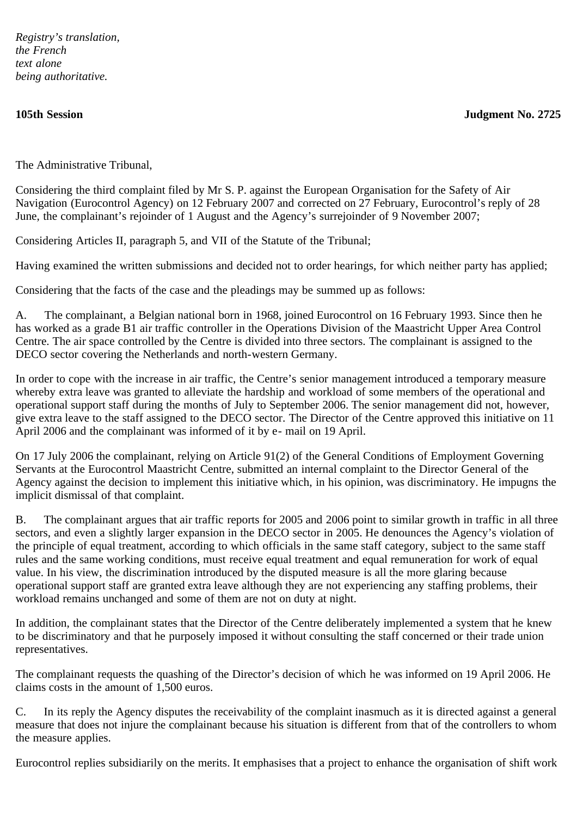*Registry's translation, the French text alone being authoritative.*

**105th Session Judgment No. 2725**

The Administrative Tribunal,

Considering the third complaint filed by Mr S. P. against the European Organisation for the Safety of Air Navigation (Eurocontrol Agency) on 12 February 2007 and corrected on 27 February, Eurocontrol's reply of 28 June, the complainant's rejoinder of 1 August and the Agency's surrejoinder of 9 November 2007;

Considering Articles II, paragraph 5, and VII of the Statute of the Tribunal;

Having examined the written submissions and decided not to order hearings, for which neither party has applied;

Considering that the facts of the case and the pleadings may be summed up as follows:

A. The complainant, a Belgian national born in 1968, joined Eurocontrol on 16 February 1993. Since then he has worked as a grade B1 air traffic controller in the Operations Division of the Maastricht Upper Area Control Centre. The air space controlled by the Centre is divided into three sectors. The complainant is assigned to the DECO sector covering the Netherlands and north-western Germany.

In order to cope with the increase in air traffic, the Centre's senior management introduced a temporary measure whereby extra leave was granted to alleviate the hardship and workload of some members of the operational and operational support staff during the months of July to September 2006. The senior management did not, however, give extra leave to the staff assigned to the DECO sector. The Director of the Centre approved this initiative on 11 April 2006 and the complainant was informed of it by e- mail on 19 April.

On 17 July 2006 the complainant, relying on Article 91(2) of the General Conditions of Employment Governing Servants at the Eurocontrol Maastricht Centre, submitted an internal complaint to the Director General of the Agency against the decision to implement this initiative which, in his opinion, was discriminatory. He impugns the implicit dismissal of that complaint.

B. The complainant argues that air traffic reports for 2005 and 2006 point to similar growth in traffic in all three sectors, and even a slightly larger expansion in the DECO sector in 2005. He denounces the Agency's violation of the principle of equal treatment, according to which officials in the same staff category, subject to the same staff rules and the same working conditions, must receive equal treatment and equal remuneration for work of equal value. In his view, the discrimination introduced by the disputed measure is all the more glaring because operational support staff are granted extra leave although they are not experiencing any staffing problems, their workload remains unchanged and some of them are not on duty at night.

In addition, the complainant states that the Director of the Centre deliberately implemented a system that he knew to be discriminatory and that he purposely imposed it without consulting the staff concerned or their trade union representatives.

The complainant requests the quashing of the Director's decision of which he was informed on 19 April 2006. He claims costs in the amount of 1,500 euros.

C. In its reply the Agency disputes the receivability of the complaint inasmuch as it is directed against a general measure that does not injure the complainant because his situation is different from that of the controllers to whom the measure applies.

Eurocontrol replies subsidiarily on the merits. It emphasises that a project to enhance the organisation of shift work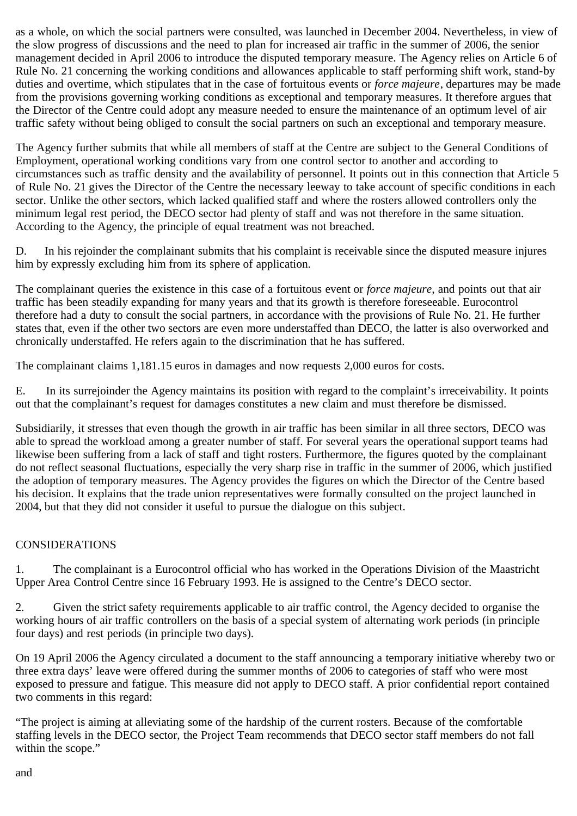as a whole, on which the social partners were consulted, was launched in December 2004. Nevertheless, in view of the slow progress of discussions and the need to plan for increased air traffic in the summer of 2006, the senior management decided in April 2006 to introduce the disputed temporary measure. The Agency relies on Article 6 of Rule No. 21 concerning the working conditions and allowances applicable to staff performing shift work, stand-by duties and overtime, which stipulates that in the case of fortuitous events or *force majeure*, departures may be made from the provisions governing working conditions as exceptional and temporary measures. It therefore argues that the Director of the Centre could adopt any measure needed to ensure the maintenance of an optimum level of air traffic safety without being obliged to consult the social partners on such an exceptional and temporary measure.

The Agency further submits that while all members of staff at the Centre are subject to the General Conditions of Employment, operational working conditions vary from one control sector to another and according to circumstances such as traffic density and the availability of personnel. It points out in this connection that Article 5 of Rule No. 21 gives the Director of the Centre the necessary leeway to take account of specific conditions in each sector. Unlike the other sectors, which lacked qualified staff and where the rosters allowed controllers only the minimum legal rest period, the DECO sector had plenty of staff and was not therefore in the same situation. According to the Agency, the principle of equal treatment was not breached.

D. In his rejoinder the complainant submits that his complaint is receivable since the disputed measure injures him by expressly excluding him from its sphere of application.

The complainant queries the existence in this case of a fortuitous event or *force majeure,* and points out that air traffic has been steadily expanding for many years and that its growth is therefore foreseeable. Eurocontrol therefore had a duty to consult the social partners, in accordance with the provisions of Rule No. 21. He further states that, even if the other two sectors are even more understaffed than DECO, the latter is also overworked and chronically understaffed. He refers again to the discrimination that he has suffered.

The complainant claims 1,181.15 euros in damages and now requests 2,000 euros for costs.

E. In its surrejoinder the Agency maintains its position with regard to the complaint's irreceivability. It points out that the complainant's request for damages constitutes a new claim and must therefore be dismissed.

Subsidiarily, it stresses that even though the growth in air traffic has been similar in all three sectors, DECO was able to spread the workload among a greater number of staff. For several years the operational support teams had likewise been suffering from a lack of staff and tight rosters. Furthermore, the figures quoted by the complainant do not reflect seasonal fluctuations, especially the very sharp rise in traffic in the summer of 2006, which justified the adoption of temporary measures. The Agency provides the figures on which the Director of the Centre based his decision. It explains that the trade union representatives were formally consulted on the project launched in 2004, but that they did not consider it useful to pursue the dialogue on this subject.

## CONSIDERATIONS

1. The complainant is a Eurocontrol official who has worked in the Operations Division of the Maastricht Upper Area Control Centre since 16 February 1993. He is assigned to the Centre's DECO sector.

2. Given the strict safety requirements applicable to air traffic control, the Agency decided to organise the working hours of air traffic controllers on the basis of a special system of alternating work periods (in principle four days) and rest periods (in principle two days).

On 19 April 2006 the Agency circulated a document to the staff announcing a temporary initiative whereby two or three extra days' leave were offered during the summer months of 2006 to categories of staff who were most exposed to pressure and fatigue. This measure did not apply to DECO staff. A prior confidential report contained two comments in this regard:

"The project is aiming at alleviating some of the hardship of the current rosters. Because of the comfortable staffing levels in the DECO sector, the Project Team recommends that DECO sector staff members do not fall within the scope."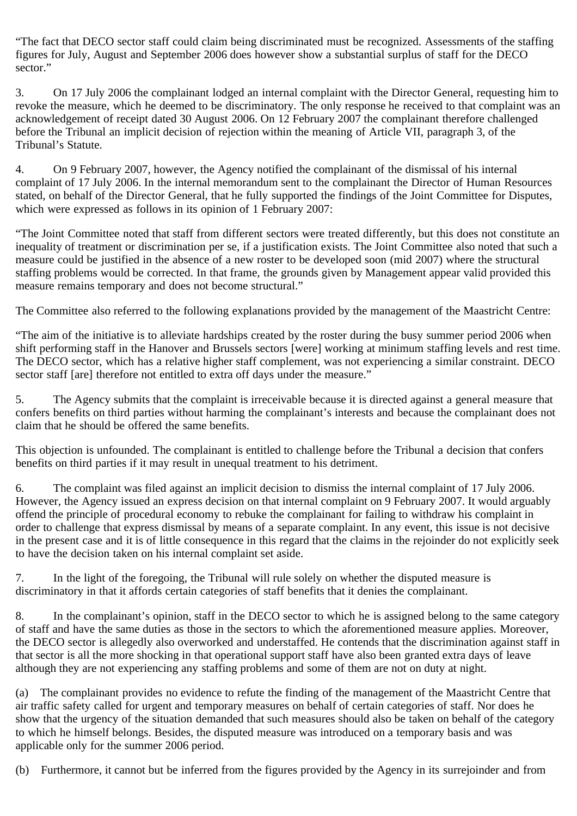"The fact that DECO sector staff could claim being discriminated must be recognized. Assessments of the staffing figures for July, August and September 2006 does however show a substantial surplus of staff for the DECO sector."

3. On 17 July 2006 the complainant lodged an internal complaint with the Director General, requesting him to revoke the measure, which he deemed to be discriminatory. The only response he received to that complaint was an acknowledgement of receipt dated 30 August 2006. On 12 February 2007 the complainant therefore challenged before the Tribunal an implicit decision of rejection within the meaning of Article VII, paragraph 3, of the Tribunal's Statute.

4. On 9 February 2007, however, the Agency notified the complainant of the dismissal of his internal complaint of 17 July 2006. In the internal memorandum sent to the complainant the Director of Human Resources stated, on behalf of the Director General, that he fully supported the findings of the Joint Committee for Disputes, which were expressed as follows in its opinion of 1 February 2007:

"The Joint Committee noted that staff from different sectors were treated differently, but this does not constitute an inequality of treatment or discrimination per se, if a justification exists. The Joint Committee also noted that such a measure could be justified in the absence of a new roster to be developed soon (mid 2007) where the structural staffing problems would be corrected. In that frame, the grounds given by Management appear valid provided this measure remains temporary and does not become structural."

The Committee also referred to the following explanations provided by the management of the Maastricht Centre:

"The aim of the initiative is to alleviate hardships created by the roster during the busy summer period 2006 when shift performing staff in the Hanover and Brussels sectors [were] working at minimum staffing levels and rest time. The DECO sector, which has a relative higher staff complement, was not experiencing a similar constraint. DECO sector staff [are] therefore not entitled to extra off days under the measure."

5. The Agency submits that the complaint is irreceivable because it is directed against a general measure that confers benefits on third parties without harming the complainant's interests and because the complainant does not claim that he should be offered the same benefits.

This objection is unfounded. The complainant is entitled to challenge before the Tribunal a decision that confers benefits on third parties if it may result in unequal treatment to his detriment.

6. The complaint was filed against an implicit decision to dismiss the internal complaint of 17 July 2006. However, the Agency issued an express decision on that internal complaint on 9 February 2007. It would arguably offend the principle of procedural economy to rebuke the complainant for failing to withdraw his complaint in order to challenge that express dismissal by means of a separate complaint. In any event, this issue is not decisive in the present case and it is of little consequence in this regard that the claims in the rejoinder do not explicitly seek to have the decision taken on his internal complaint set aside.

7. In the light of the foregoing, the Tribunal will rule solely on whether the disputed measure is discriminatory in that it affords certain categories of staff benefits that it denies the complainant.

8. In the complainant's opinion, staff in the DECO sector to which he is assigned belong to the same category of staff and have the same duties as those in the sectors to which the aforementioned measure applies. Moreover, the DECO sector is allegedly also overworked and understaffed. He contends that the discrimination against staff in that sector is all the more shocking in that operational support staff have also been granted extra days of leave although they are not experiencing any staffing problems and some of them are not on duty at night.

(a) The complainant provides no evidence to refute the finding of the management of the Maastricht Centre that air traffic safety called for urgent and temporary measures on behalf of certain categories of staff. Nor does he show that the urgency of the situation demanded that such measures should also be taken on behalf of the category to which he himself belongs. Besides, the disputed measure was introduced on a temporary basis and was applicable only for the summer 2006 period.

(b) Furthermore, it cannot but be inferred from the figures provided by the Agency in its surrejoinder and from